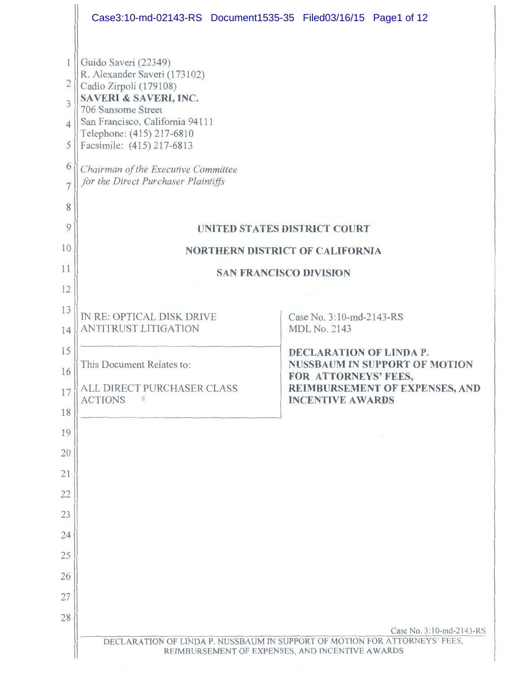|                     | Case3:10-md-02143-RS Document1535-35 Filed03/16/15 Page1 of 12                                                                |                                                              |  |  |
|---------------------|-------------------------------------------------------------------------------------------------------------------------------|--------------------------------------------------------------|--|--|
|                     | Guido Saveri (22349)                                                                                                          |                                                              |  |  |
| $\overline{2}$      | R. Alexander Saveri (173102)<br>Cadio Zirpoli (179108)                                                                        |                                                              |  |  |
| 3                   | <b>SAVERI &amp; SAVERI, INC.</b><br>706 Sansome Street                                                                        |                                                              |  |  |
| $\overline{4}$      | San Francisco, California 94111<br>Telephone: (415) 217-6810                                                                  |                                                              |  |  |
| 5                   | Facsimile: (415) 217-6813                                                                                                     |                                                              |  |  |
| 6<br>$\overline{7}$ | Chairman of the Executive Committee<br>for the Direct Purchaser Plaintiffs                                                    |                                                              |  |  |
| 8                   |                                                                                                                               |                                                              |  |  |
| 9                   | <b>UNITED STATES DISTRICT COURT</b>                                                                                           |                                                              |  |  |
| 10                  | <b>NORTHERN DISTRICT OF CALIFORNIA</b>                                                                                        |                                                              |  |  |
| 11                  | <b>SAN FRANCISCO DIVISION</b>                                                                                                 |                                                              |  |  |
| 12<br>13            |                                                                                                                               |                                                              |  |  |
| 14                  | IN RE: OPTICAL DISK DRIVE<br><b>ANTITRUST LITIGATION</b>                                                                      | Case No. 3:10-md-2143-RS<br><b>MDL No. 2143</b>              |  |  |
| 15                  |                                                                                                                               | <b>DECLARATION OF LINDA P.</b>                               |  |  |
| 16                  | This Document Relates to:                                                                                                     | <b>NUSSBAUM IN SUPPORT OF MOTION</b><br>FOR ATTORNEYS' FEES, |  |  |
| 17                  | ALL DIRECT PURCHASER CLASS<br><b>ACTIONS</b>                                                                                  | REIMBURSEMENT OF EXPENSES, AND<br><b>INCENTIVE AWARDS</b>    |  |  |
| 18                  |                                                                                                                               |                                                              |  |  |
| 19<br>20            |                                                                                                                               |                                                              |  |  |
| 21                  |                                                                                                                               |                                                              |  |  |
| 22                  |                                                                                                                               |                                                              |  |  |
| 23                  |                                                                                                                               |                                                              |  |  |
| 24                  |                                                                                                                               |                                                              |  |  |
| 25                  |                                                                                                                               |                                                              |  |  |
| 26                  |                                                                                                                               |                                                              |  |  |
| 27<br>28            |                                                                                                                               |                                                              |  |  |
|                     |                                                                                                                               | Case No. 3:10-md-2143-RS                                     |  |  |
|                     | DECLARATION OF LINDA P. NUSSBAUM IN SUPPORT OF MOTION FOR ATTORNEYS' FEES,<br>REIMBURSEMENT OF EXPENSES, AND INCENTIVE AWARDS |                                                              |  |  |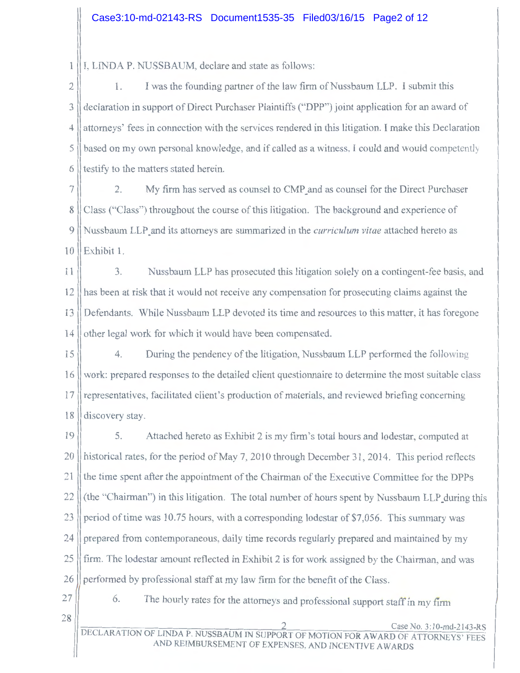I, LINDA P. NUSSBAUM, declare and state as follows: 1

 $2 \parallel$  1. I was the founding partner of the law firm of Nussbaum LLP. I submit this 3 declaration in support of Direct Purchaser Plaintiffs ("DPP") joint application for an award of 4 attorneys' fees in connection with the services rendered in this litigation. I make this Declaration  $5$  || based on my own personal knowledge, and if called as a witness, I could and would competently  $6$  lestify to the matters stated herein.

7 2. My firm has served as counsel to CMP and as counsel for the Direct Purchaser 8 Class ("Class") throughout the course of this litigation. The background and experience of 9 Nussbaum LLP\_and its attorneys are summarized in the *curriculum vitae* attached hereto as 10 Exhibit 1.

11 3. Nussbaum LLP has prosecuted this litigation solely on a contingent-fee basis, and 12 has been at risk that it would not receive any compensation for prosecuting claims against the 13 Defendants. While Nussbaum LLP devoted its time and resources to this matter, it has foregone 14 lother legal work for which it would have been compensated.

15 4. During the pendency of the litigation, Nussbaum LLP performed the following 16 work: prepared responses to the detailed client questionnaire to determine the most suitable class 17 representatives, facilitated client's production of materials, and reviewed briefing concerning 18 discovery stay.

19 | 5. Attached hereto as Exhibit 2 is my firm's total hours and lodestar, computed at 20 || historical rates, for the period of May 7, 2010 through December 31, 2014. This period reflects 21 Ithe time spent after the appointment of the Chairman of the Executive Committee for the DPPs  $22$  (the "Chairman") in this litigation. The total number of hours spent by Nussbaum LLP during this 23 period of time was 10.75 hours, with a corresponding lodestar of \$7,056. This summary was 24 prepared from contemporaneous, daily time records regularly prepared and maintained by my 25 firm. The lodestar amount reflected in Exhibit 2 is for work assigned by the Chairman, and was 26 performed by professional staff at my law firm for the benefit of the Class.

27

6. The hourly rates for the attorneys and professional support staff in my firm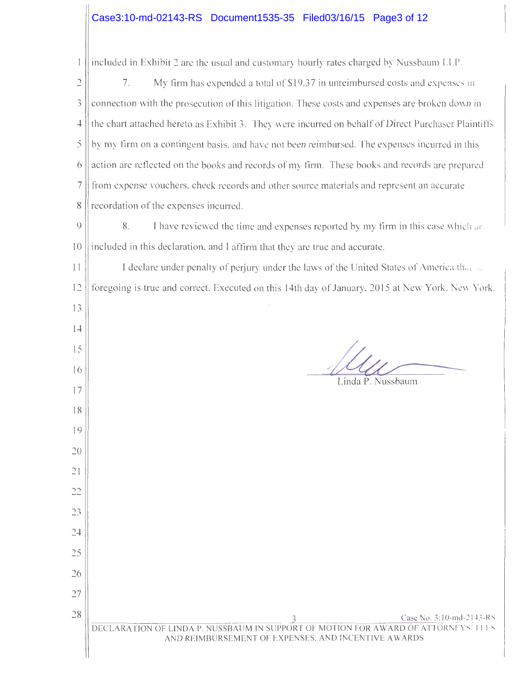### Case3:10-md-02143-RS Document1535-35 Filed03/16/15 Page3 of 12

| 1                       | included in Exhibit 2 are the usual and customary hourly rates charged by Nussbaum LLP.                                                                               |  |  |  |
|-------------------------|-----------------------------------------------------------------------------------------------------------------------------------------------------------------------|--|--|--|
| $\supseteq$             | 7.<br>My firm has expended a total of \$19.37 in unreimbursed costs and expenses in                                                                                   |  |  |  |
| 3                       | connection with the prosecution of this litigation. These costs and expenses are broken down in                                                                       |  |  |  |
| 4                       | the chart attached hereto as Exhibit 3. They were incurred on behalf of Direct Purchaser Plaintiffs                                                                   |  |  |  |
| 5                       | by my firm on a contingent basis, and have not been reimbursed. The expenses incurred in this                                                                         |  |  |  |
| 6                       | action are reflected on the books and records of my firm. These books and records are prepared                                                                        |  |  |  |
| 7                       | from expense vouchers, check records and other source materials and represent an accurate                                                                             |  |  |  |
| 8                       | recordation of the expenses incurred.                                                                                                                                 |  |  |  |
| $\circ$                 | 8.<br>I have reviewed the time and expenses reported by my firm in this case which are                                                                                |  |  |  |
| 10                      | included in this declaration, and I affirm that they are true and accurate.                                                                                           |  |  |  |
| 11                      | I declare under penalty of perjury under the laws of the United States of America that                                                                                |  |  |  |
| 12                      | foregoing is true and correct. Executed on this 14th day of January, 2015 at New York. New York.                                                                      |  |  |  |
| 13                      |                                                                                                                                                                       |  |  |  |
| 14                      |                                                                                                                                                                       |  |  |  |
| 15                      |                                                                                                                                                                       |  |  |  |
| 16                      | Linda P. Nussbaum                                                                                                                                                     |  |  |  |
| 17                      |                                                                                                                                                                       |  |  |  |
| 18                      |                                                                                                                                                                       |  |  |  |
| 19                      |                                                                                                                                                                       |  |  |  |
| 20                      |                                                                                                                                                                       |  |  |  |
| $\frac{1}{2}$           |                                                                                                                                                                       |  |  |  |
| $\gamma\gamma$<br>نہ سم |                                                                                                                                                                       |  |  |  |
| 23                      |                                                                                                                                                                       |  |  |  |
| 24                      |                                                                                                                                                                       |  |  |  |
| 25                      |                                                                                                                                                                       |  |  |  |
| 26                      |                                                                                                                                                                       |  |  |  |
| 27                      |                                                                                                                                                                       |  |  |  |
| 28                      | Case No. 3:10-md-2143-RS<br>DECLARATION OF LINDA P. NUSSBAUM IN SUPPORT OF MOTION FOR AWARD OF ATTORNEYS' HI-S<br>AND REIMBURSEMENT OF EXPENSES, AND INCENTIVE AWARDS |  |  |  |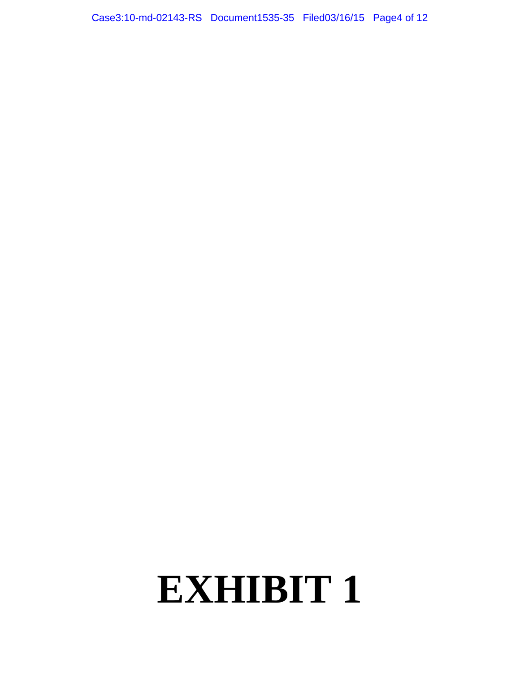Case3:10-md-02143-RS Document1535-35 Filed03/16/15 Page4 of 12

## **EXHIBIT 1**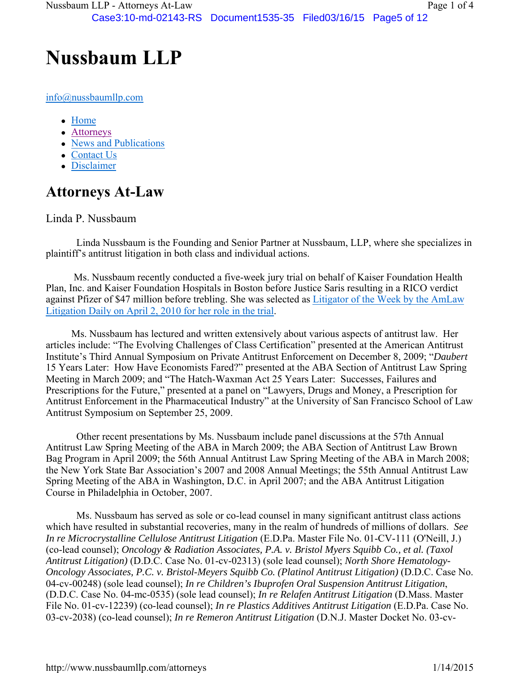### **Nussbaum LLP**

info@nussbaumllp.com

- Home
- Attorneys
- News and Publications
- Contact Us
- Disclaimer

### **Attorneys At-Law**

#### Linda P. Nussbaum

 Linda Nussbaum is the Founding and Senior Partner at Nussbaum, LLP, where she specializes in plaintiff's antitrust litigation in both class and individual actions.

 Ms. Nussbaum recently conducted a five-week jury trial on behalf of Kaiser Foundation Health Plan, Inc. and Kaiser Foundation Hospitals in Boston before Justice Saris resulting in a RICO verdict against Pfizer of \$47 million before trebling. She was selected as Litigator of the Week by the AmLaw Litigation Daily on April 2, 2010 for her role in the trial.

 Ms. Nussbaum has lectured and written extensively about various aspects of antitrust law. Her articles include: "The Evolving Challenges of Class Certification" presented at the American Antitrust Institute's Third Annual Symposium on Private Antitrust Enforcement on December 8, 2009; "*Daubert* 15 Years Later: How Have Economists Fared?" presented at the ABA Section of Antitrust Law Spring Meeting in March 2009; and "The Hatch-Waxman Act 25 Years Later: Successes, Failures and Prescriptions for the Future," presented at a panel on "Lawyers, Drugs and Money, a Prescription for Antitrust Enforcement in the Pharmaceutical Industry" at the University of San Francisco School of Law Antitrust Symposium on September 25, 2009.

 Other recent presentations by Ms. Nussbaum include panel discussions at the 57th Annual Antitrust Law Spring Meeting of the ABA in March 2009; the ABA Section of Antitrust Law Brown Bag Program in April 2009; the 56th Annual Antitrust Law Spring Meeting of the ABA in March 2008; the New York State Bar Association's 2007 and 2008 Annual Meetings; the 55th Annual Antitrust Law Spring Meeting of the ABA in Washington, D.C. in April 2007; and the ABA Antitrust Litigation Course in Philadelphia in October, 2007.

 Ms. Nussbaum has served as sole or co-lead counsel in many significant antitrust class actions which have resulted in substantial recoveries, many in the realm of hundreds of millions of dollars. *See In re Microcrystalline Cellulose Antitrust Litigation* (E.D.Pa. Master File No. 01-CV-111 (O'Neill, J.) (co-lead counsel); *Oncology & Radiation Associates, P.A. v. Bristol Myers Squibb Co., et al. (Taxol Antitrust Litigation)* (D.D.C. Case No. 01-cv-02313) (sole lead counsel); *North Shore Hematology-Oncology Associates, P.C. v. Bristol-Meyers Squibb Co. (Platinol Antitrust Litigation)* (D.D.C. Case No. 04-cv-00248) (sole lead counsel); *In re Children's Ibuprofen Oral Suspension Antitrust Litigation*, (D.D.C. Case No. 04-mc-0535) (sole lead counsel); *In re Relafen Antitrust Litigation* (D.Mass. Master File No. 01-cv-12239) (co-lead counsel); *In re Plastics Additives Antitrust Litigation* (E.D.Pa. Case No. 03-cv-2038) (co-lead counsel); *In re Remeron Antitrust Litigation* (D.N.J. Master Docket No. 03-cv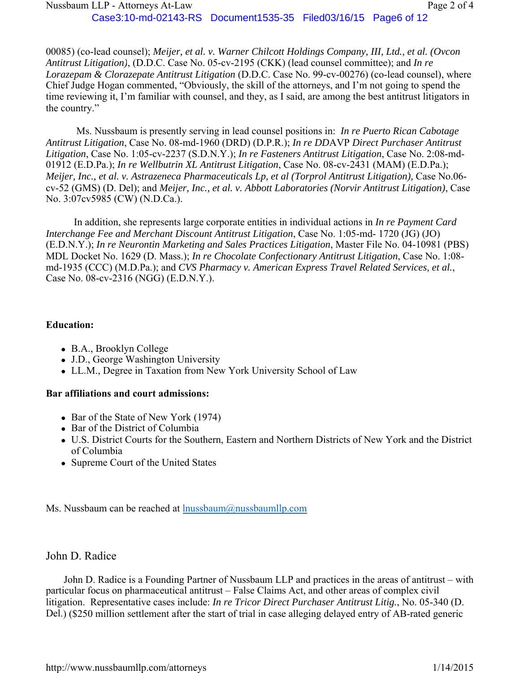00085) (co-lead counsel); *Meijer, et al. v. Warner Chilcott Holdings Company, III, Ltd., et al. (Ovcon Antitrust Litigation)*, (D.D.C. Case No. 05-cv-2195 (CKK) (lead counsel committee); and *In re Lorazepam & Clorazepate Antitrust Litigation* (D.D.C. Case No. 99-cv-00276) (co-lead counsel), where Chief Judge Hogan commented, "Obviously, the skill of the attorneys, and I'm not going to spend the time reviewing it, I'm familiar with counsel, and they, as I said, are among the best antitrust litigators in the country."

Ms. Nussbaum is presently serving in lead counsel positions in: *In re Puerto Rican Cabotage Antitrust Litigation*, Case No. 08-md-1960 (DRD) (D.P.R.); *In re DD*AVP *Direct Purchaser Antitrust Litigation*, Case No. 1:05-cv-2237 (S.D.N.Y.); *In re Fasteners Antitrust Litigation*, Case No. 2:08-md-01912 (E.D.Pa.); *In re Wellbutrin XL Antitrust Litigation*, Case No. 08-cv-2431 (MAM) (E.D.Pa.); *Meijer, Inc., et al. v. Astrazeneca Pharmaceuticals Lp, et al (Torprol Antitrust Litigation),* Case No.06 cv-52 (GMS) (D. Del); and *Meijer, Inc., et al. v. Abbott Laboratories (Norvir Antitrust Litigation)*, Case No. 3:07cv5985 (CW) (N.D.Ca.).

 In addition, she represents large corporate entities in individual actions in *In re Payment Card Interchange Fee and Merchant Discount Antitrust Litigation*, Case No. 1:05-md- 1720 (JG) (JO) (E.D.N.Y.); *In re Neurontin Marketing and Sales Practices Litigation*, Master File No. 04-10981 (PBS) MDL Docket No. 1629 (D. Mass.); *In re Chocolate Confectionary Antitrust Litigation*, Case No. 1:08 md-1935 (CCC) (M.D.Pa.); and *CVS Pharmacy v. American Express Travel Related Services, et al.*, Case No. 08-cv-2316 (NGG) (E.D.N.Y.).

#### **Education:**

- B.A., Brooklyn College
- J.D., George Washington University
- LL.M., Degree in Taxation from New York University School of Law

#### **Bar affiliations and court admissions:**

- Bar of the State of New York (1974)
- Bar of the District of Columbia
- U.S. District Courts for the Southern, Eastern and Northern Districts of New York and the District of Columbia
- Supreme Court of the United States

Ms. Nussbaum can be reached at  $\frac{\text{lnussbaum@nussbaum}1\text{p.com}}{1}$ 

#### John D. Radice

 John D. Radice is a Founding Partner of Nussbaum LLP and practices in the areas of antitrust – with particular focus on pharmaceutical antitrust – False Claims Act, and other areas of complex civil litigation. Representative cases include: *In re Tricor Direct Purchaser Antitrust Litig.*, No. 05-340 (D. Del.) (\$250 million settlement after the start of trial in case alleging delayed entry of AB-rated generic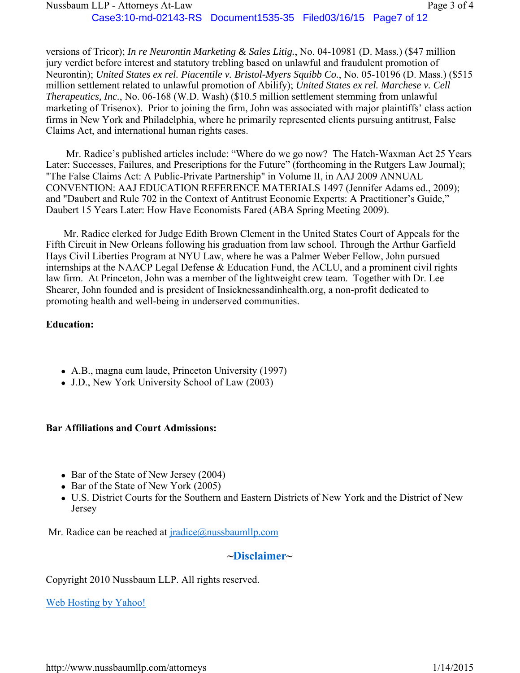versions of Tricor); *In re Neurontin Marketing & Sales Litig.*, No. 04-10981 (D. Mass.) (\$47 million jury verdict before interest and statutory trebling based on unlawful and fraudulent promotion of Neurontin); *United States ex rel. Piacentile v. Bristol-Myers Squibb Co.*, No. 05-10196 (D. Mass.) (\$515 million settlement related to unlawful promotion of Abilify); *United States ex rel. Marchese v. Cell Therapeutics, Inc.*, No. 06-168 (W.D. Wash) (\$10.5 million settlement stemming from unlawful marketing of Trisenox). Prior to joining the firm, John was associated with major plaintiffs' class action firms in New York and Philadelphia, where he primarily represented clients pursuing antitrust, False Claims Act, and international human rights cases.

 Mr. Radice's published articles include: "Where do we go now? The Hatch-Waxman Act 25 Years Later: Successes, Failures, and Prescriptions for the Future" (forthcoming in the Rutgers Law Journal); "The False Claims Act: A Public-Private Partnership" in Volume II, in AAJ 2009 ANNUAL CONVENTION: AAJ EDUCATION REFERENCE MATERIALS 1497 (Jennifer Adams ed., 2009); and "Daubert and Rule 702 in the Context of Antitrust Economic Experts: A Practitioner's Guide," Daubert 15 Years Later: How Have Economists Fared (ABA Spring Meeting 2009).

 Mr. Radice clerked for Judge Edith Brown Clement in the United States Court of Appeals for the Fifth Circuit in New Orleans following his graduation from law school. Through the Arthur Garfield Hays Civil Liberties Program at NYU Law, where he was a Palmer Weber Fellow, John pursued internships at the NAACP Legal Defense & Education Fund, the ACLU, and a prominent civil rights law firm. At Princeton, John was a member of the lightweight crew team. Together with Dr. Lee Shearer, John founded and is president of Insicknessandinhealth.org, a non-profit dedicated to promoting health and well-being in underserved communities.

#### **Education:**

- A.B., magna cum laude, Princeton University (1997)
- J.D., New York University School of Law (2003)

#### **Bar Affiliations and Court Admissions:**

- Bar of the State of New Jersey (2004)
- Bar of the State of New York (2005)
- U.S. District Courts for the Southern and Eastern Districts of New York and the District of New Jersey

Mr. Radice can be reached at *jradice@nussbaumllp.com* 

#### **~Disclaimer~**

Copyright 2010 Nussbaum LLP. All rights reserved.

Web Hosting by Yahoo!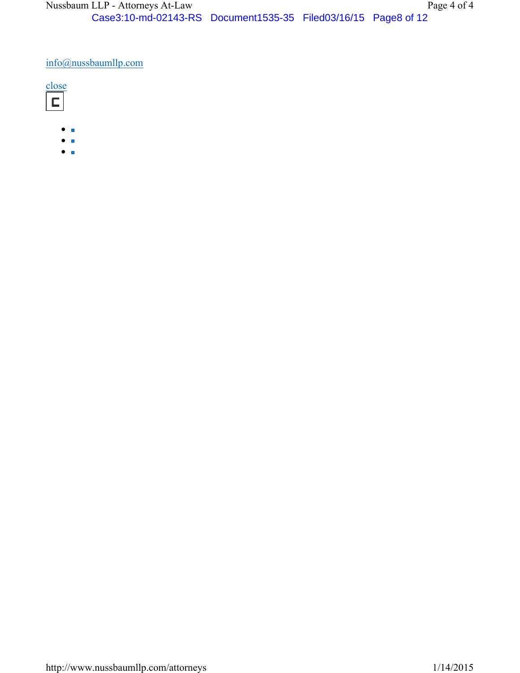#### info@nussbaumllp.com

- $\bullet$   $\blacksquare$
- $\bullet$  .
- $\bullet$   $\blacksquare$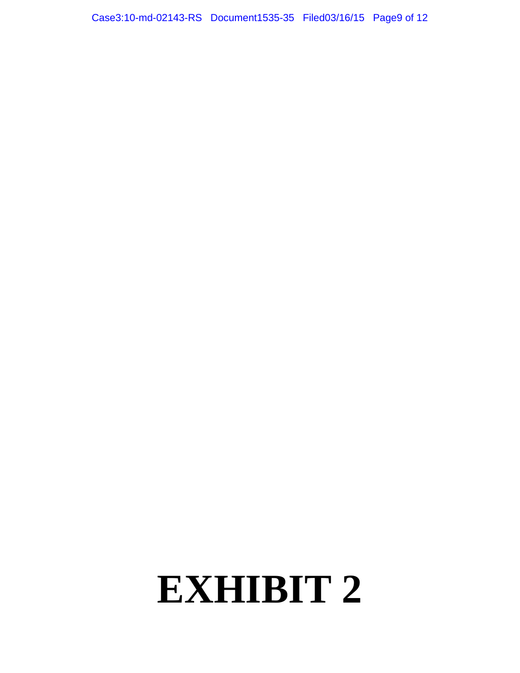Case3:10-md-02143-RS Document1535-35 Filed03/16/15 Page9 of 12

# **EXHIBIT 2**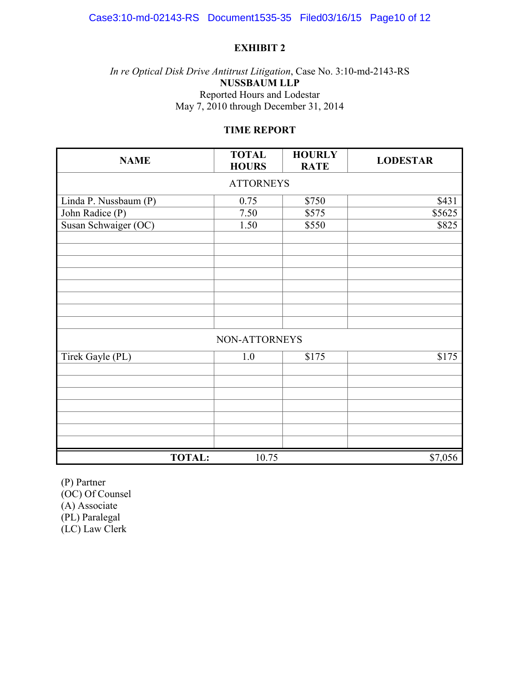#### **EXHIBIT 2**

#### *In re Optical Disk Drive Antitrust Litigation*, Case No. 3:10-md-2143-RS **NUSSBAUM LLP**  Reported Hours and Lodestar May 7, 2010 through December 31, 2014

#### **TIME REPORT**

| <b>NAME</b>           | <b>TOTAL</b><br><b>HOURS</b> | <b>HOURLY</b><br><b>RATE</b> | <b>LODESTAR</b> |  |  |  |
|-----------------------|------------------------------|------------------------------|-----------------|--|--|--|
| <b>ATTORNEYS</b>      |                              |                              |                 |  |  |  |
| Linda P. Nussbaum (P) | 0.75                         | \$750                        | \$431           |  |  |  |
| John Radice (P)       | 7.50                         | \$575                        | \$5625          |  |  |  |
| Susan Schwaiger (OC)  | 1.50                         | \$550                        | \$825           |  |  |  |
|                       |                              |                              |                 |  |  |  |
|                       |                              |                              |                 |  |  |  |
|                       |                              |                              |                 |  |  |  |
|                       |                              |                              |                 |  |  |  |
|                       |                              |                              |                 |  |  |  |
|                       |                              |                              |                 |  |  |  |
|                       |                              |                              |                 |  |  |  |
| NON-ATTORNEYS         |                              |                              |                 |  |  |  |
| Tirek Gayle (PL)      | 1.0                          | \$175                        | \$175           |  |  |  |
|                       |                              |                              |                 |  |  |  |
|                       |                              |                              |                 |  |  |  |
|                       |                              |                              |                 |  |  |  |
|                       |                              |                              |                 |  |  |  |
|                       |                              |                              |                 |  |  |  |
|                       |                              |                              |                 |  |  |  |
| <b>TOTAL:</b>         | 10.75                        |                              | \$7,056         |  |  |  |

(P) Partner  $(OC)$  Of Counsel (A) Associate (PL) Paralegal (LC) Law Clerk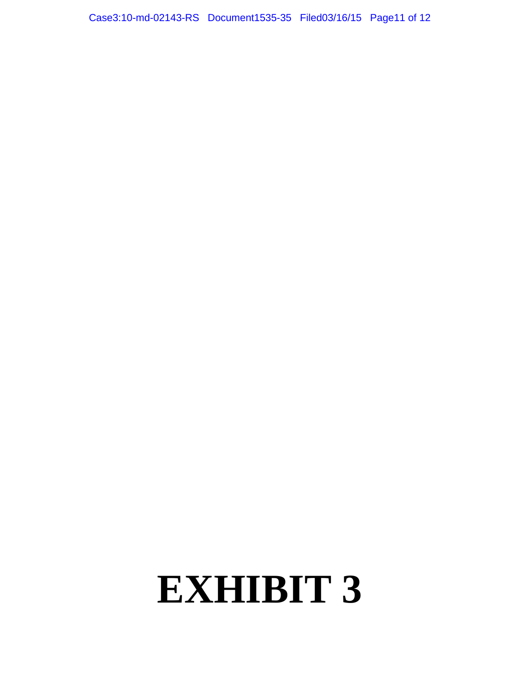Case3:10-md-02143-RS Document1535-35 Filed03/16/15 Page11 of 12

# **EXHIBIT 3**